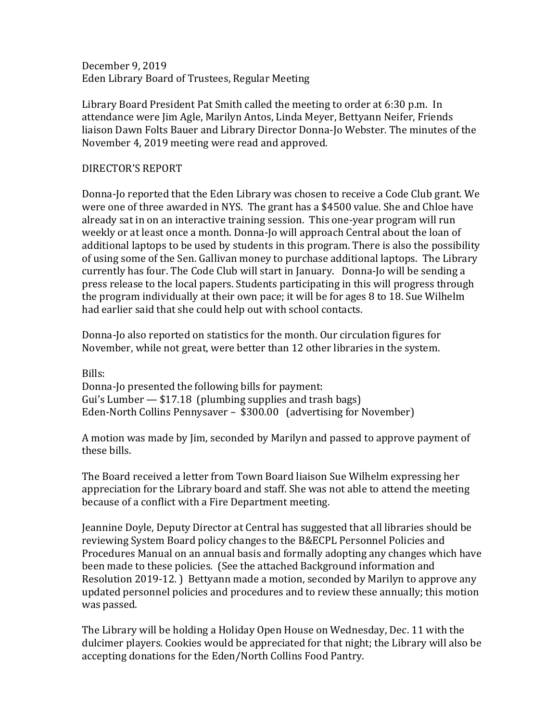December 9, 2019 Eden Library Board of Trustees, Regular Meeting

Library Board President Pat Smith called the meeting to order at 6:30 p.m. In attendance were Jim Agle, Marilyn Antos, Linda Meyer, Bettyann Neifer, Friends liaison Dawn Folts Bauer and Library Director Donna-Jo Webster. The minutes of the November 4, 2019 meeting were read and approved.

## DIRECTOR'S REPORT

Donna-Jo reported that the Eden Library was chosen to receive a Code Club grant. We were one of three awarded in NYS. The grant has a \$4500 value. She and Chloe have already sat in on an interactive training session. This one-year program will run weekly or at least once a month. Donna-Jo will approach Central about the loan of additional laptops to be used by students in this program. There is also the possibility of using some of the Sen. Gallivan money to purchase additional laptops. The Library currently has four. The Code Club will start in January. Donna-Jo will be sending a press release to the local papers. Students participating in this will progress through the program individually at their own pace; it will be for ages 8 to 18. Sue Wilhelm had earlier said that she could help out with school contacts.

Donna-Jo also reported on statistics for the month. Our circulation figures for November, while not great, were better than 12 other libraries in the system.

Bills: Donna-Jo presented the following bills for payment: Gui's Lumber — \$17.18 (plumbing supplies and trash bags) Eden-North Collins Pennysaver – \$300.00 (advertising for November)

A motion was made by Jim, seconded by Marilyn and passed to approve payment of these bills.

The Board received a letter from Town Board liaison Sue Wilhelm expressing her appreciation for the Library board and staff. She was not able to attend the meeting because of a conflict with a Fire Department meeting.

Jeannine Doyle, Deputy Director at Central has suggested that all libraries should be reviewing System Board policy changes to the B&ECPL Personnel Policies and Procedures Manual on an annual basis and formally adopting any changes which have been made to these policies. (See the attached Background information and Resolution 2019-12. ) Bettyann made a motion, seconded by Marilyn to approve any updated personnel policies and procedures and to review these annually; this motion was passed.

The Library will be holding a Holiday Open House on Wednesday, Dec. 11 with the dulcimer players. Cookies would be appreciated for that night; the Library will also be accepting donations for the Eden/North Collins Food Pantry.